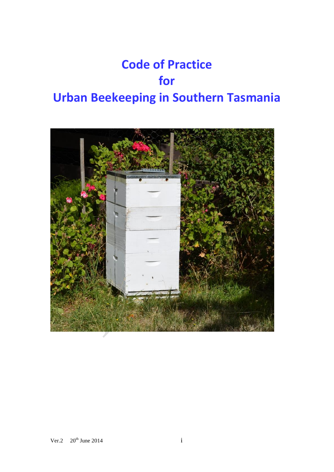# **Code of Practice for Urban Beekeeping in Southern Tasmania**

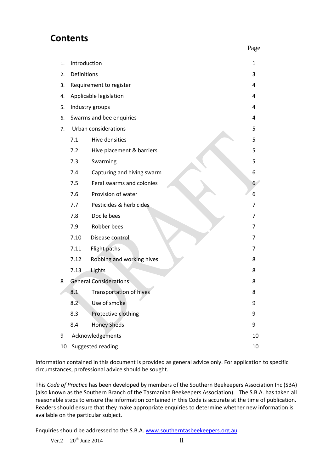### **Contents**

| 1. | Introduction             |                               | 1  |
|----|--------------------------|-------------------------------|----|
| 2. | Definitions              |                               | 3  |
| 3. |                          | Requirement to register       | 4  |
| 4. |                          | Applicable legislation        | 4  |
| 5. | Industry groups          |                               |    |
| 6. | Swarms and bee enquiries |                               |    |
| 7. | Urban considerations     |                               |    |
|    | 7.1                      | Hive densities                | 5  |
|    | 7.2                      | Hive placement & barriers     | 5  |
|    | 7.3                      | Swarming                      | 5  |
|    | 7.4                      | Capturing and hiving swarm    | 6  |
|    | 7.5                      | Feral swarms and colonies     | 6  |
|    | 7.6                      | Provision of water            | 6  |
|    | 7.7                      | Pesticides & herbicides       | 7  |
|    | 7.8                      | Docile bees                   | 7  |
|    | 7.9                      | Robber bees                   | 7  |
|    | 7.10                     | Disease control               | 7  |
|    | 7.11                     | Flight paths                  | 7  |
|    | 7.12                     | Robbing and working hives     | 8  |
|    | 7.13                     | Lights                        | 8  |
| 8  |                          | <b>General Considerations</b> | 8  |
|    | 8.1                      | Transportation of hives       | 8  |
|    | 8.2                      | Use of smoke                  | 9  |
|    | 8.3                      | Protective clothing           | 9  |
|    | 8.4                      | <b>Honey Sheds</b>            | 9  |
| 9  |                          | Acknowledgements              | 10 |
| 10 | Suggested reading        |                               |    |

Information contained in this document is provided as general advice only. For application to specific circumstances, professional advice should be sought.

This *Code of Practice* has been developed by members of the Southern Beekeepers Association Inc (SBA) (also known as the Southern Branch of the Tasmanian Beekeepers Association). The S.B.A. has taken all reasonable steps to ensure the information contained in this Code is accurate at the time of publication. Readers should ensure that they make appropriate enquiries to determine whether new information is available on the particular subject.

Enquiries should be addressed to the S.B.A[. www.southerntasbeekeepers.org.au](http://www.southerntasbeekeepers.org.au/)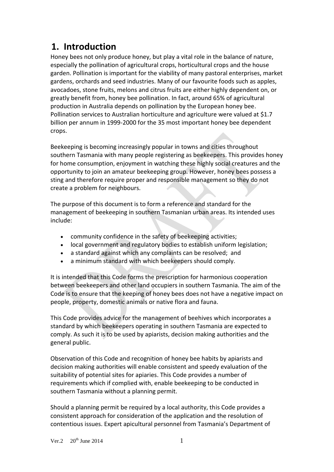## **1. Introduction**

Honey bees not only produce honey, but play a vital role in the balance of nature, especially the pollination of agricultural crops, horticultural crops and the house garden. Pollination is important for the viability of many pastoral enterprises, market gardens, orchards and seed industries. Many of our favourite foods such as apples, avocadoes, stone fruits, melons and citrus fruits are either highly dependent on, or greatly benefit from, honey bee pollination. In fact, around 65% of agricultural production in Australia depends on pollination by the European honey bee. Pollination services to Australian horticulture and agriculture were valued at \$1.7 billion per annum in 1999-2000 for the 35 most important honey bee dependent crops.

Beekeeping is becoming increasingly popular in towns and cities throughout southern Tasmania with many people registering as beekeepers. This provides honey for home consumption, enjoyment in watching these highly social creatures and the opportunity to join an amateur beekeeping group. However, honey bees possess a sting and therefore require proper and responsible management so they do not create a problem for neighbours.

The purpose of this document is to form a reference and standard for the management of beekeeping in southern Tasmanian urban areas. Its intended uses include:

- community confidence in the safety of beekeeping activities;
- local government and regulatory bodies to establish uniform legislation;
- a standard against which any complaints can be resolved; and
- a minimum standard with which beekeepers should comply.

It is intended that this Code forms the prescription for harmonious cooperation between beekeepers and other land occupiers in southern Tasmania. The aim of the Code is to ensure that the keeping of honey bees does not have a negative impact on people, property, domestic animals or native flora and fauna.

This Code provides advice for the management of beehives which incorporates a standard by which beekeepers operating in southern Tasmania are expected to comply. As such it is to be used by apiarists, decision making authorities and the general public.

Observation of this Code and recognition of honey bee habits by apiarists and decision making authorities will enable consistent and speedy evaluation of the suitability of potential sites for apiaries. This Code provides a number of requirements which if complied with, enable beekeeping to be conducted in southern Tasmania without a planning permit.

Should a planning permit be required by a local authority, this Code provides a consistent approach for consideration of the application and the resolution of contentious issues. Expert apicultural personnel from Tasmania's Department of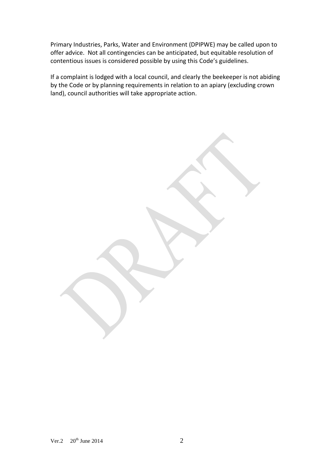Primary Industries, Parks, Water and Environment (DPIPWE) may be called upon to offer advice. Not all contingencies can be anticipated, but equitable resolution of contentious issues is considered possible by using this Code's guidelines.

If a complaint is lodged with a local council, and clearly the beekeeper is not abiding by the Code or by planning requirements in relation to an apiary (excluding crown land), council authorities will take appropriate action.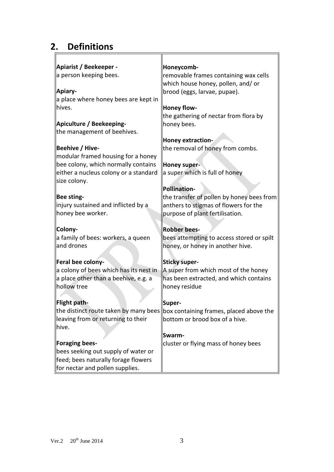# **2. Definitions**

| Apiarist / Beekeeper -                 | Honeycomb-                                                                    |  |  |
|----------------------------------------|-------------------------------------------------------------------------------|--|--|
| a person keeping bees.                 | removable frames containing wax cells                                         |  |  |
|                                        | which house honey, pollen, and/ or                                            |  |  |
| Apiary-                                | brood (eggs, larvae, pupae).                                                  |  |  |
| a place where honey bees are kept in   |                                                                               |  |  |
| hives.                                 | Honey flow-                                                                   |  |  |
|                                        | the gathering of nectar from flora by                                         |  |  |
| Apiculture / Beekeeping-               | honey bees.                                                                   |  |  |
| the management of beehives.            |                                                                               |  |  |
|                                        | Honey extraction-                                                             |  |  |
| Beehive / Hive-                        | the removal of honey from combs.                                              |  |  |
| modular framed housing for a honey     |                                                                               |  |  |
| bee colony, which normally contains    | Honey super-                                                                  |  |  |
| either a nucleus colony or a standard  | a super which is full of honey                                                |  |  |
| size colony.                           |                                                                               |  |  |
|                                        | <b>Pollination-</b>                                                           |  |  |
| Bee sting-                             | the transfer of pollen by honey bees from                                     |  |  |
| injury sustained and inflicted by a    | anthers to stigmas of flowers for the                                         |  |  |
| honey bee worker.                      | purpose of plant fertilisation.                                               |  |  |
| Colony-                                | <b>Robber bees-</b>                                                           |  |  |
| a family of bees: workers, a queen     | bees attempting to access stored or spilt                                     |  |  |
| and drones                             | honey, or honey in another hive.                                              |  |  |
|                                        |                                                                               |  |  |
| Feral bee colony-                      | <b>Sticky super-</b>                                                          |  |  |
| a colony of bees which has its nest in | A super from which most of the honey                                          |  |  |
| a place other than a beehive, e.g. a   | has been extracted, and which contains                                        |  |  |
| hollow tree                            | honey residue                                                                 |  |  |
|                                        |                                                                               |  |  |
| Flight path-                           | Super-                                                                        |  |  |
|                                        | the distinct route taken by many bees box containing frames, placed above the |  |  |
| leaving from or returning to their     | bottom or brood box of a hive.                                                |  |  |
| hive.                                  |                                                                               |  |  |
|                                        | Swarm-                                                                        |  |  |
| Foraging bees-                         | cluster or flying mass of honey bees                                          |  |  |
| bees seeking out supply of water or    |                                                                               |  |  |
| feed; bees naturally forage flowers    |                                                                               |  |  |
| for nectar and pollen supplies.        |                                                                               |  |  |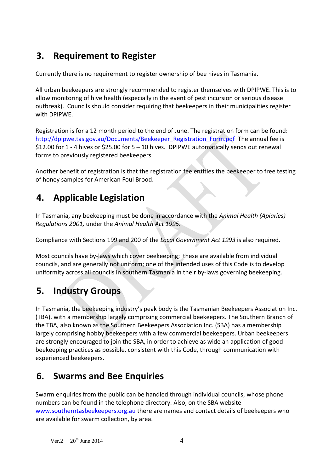## **3. Requirement to Register**

Currently there is no requirement to register ownership of bee hives in Tasmania.

All urban beekeepers are strongly recommended to register themselves with DPIPWE. This is to allow monitoring of hive health (especially in the event of pest incursion or serious disease outbreak). Councils should consider requiring that beekeepers in their municipalities register with DPIPWE.

Registration is for a 12 month period to the end of June. The registration form can be found: [http://dpipwe.tas.gov.au/Documents/Beekeeper\\_Registration\\_Form.pdf](http://dpipwe.tas.gov.au/Documents/Beekeeper_Registration_Form.pdf) The annual fee is \$12.00 for 1 - 4 hives or \$25.00 for 5 – 10 hives. DPIPWE automatically sends out renewal forms to previously registered beekeepers.

Another benefit of registration is that the registration fee entitles the beekeeper to free testing of honey samples for American Foul Brood.

## **4. Applicable Legislation**

In Tasmania, any beekeeping must be done in accordance with the *Animal Health (Apiaries) Regulations 2001,* under the *Animal Health Act 1995.*

Compliance with Sections 199 and 200 of the *Local Government Act 1993* is also required.

Most councils have by-laws which cover beekeeping; these are available from individual councils, and are generally not uniform; one of the intended uses of this Code is to develop uniformity across all councils in southern Tasmania in their by-laws governing beekeeping.

## **5. Industry Groups**

In Tasmania, the beekeeping industry's peak body is the Tasmanian Beekeepers Association Inc. (TBA), with a membership largely comprising commercial beekeepers. The Southern Branch of the TBA, also known as the Southern Beekeepers Association Inc. (SBA) has a membership largely comprising hobby beekeepers with a few commercial beekeepers. Urban beekeepers are strongly encouraged to join the SBA, in order to achieve as wide an application of good beekeeping practices as possible, consistent with this Code, through communication with experienced beekeepers.

## **6. Swarms and Bee Enquiries**

Swarm enquiries from the public can be handled through individual councils, whose phone numbers can be found in the telephone directory. Also, on the SBA website [www.southerntasbeekeepers.org.au](http://www.southerntasbeekeepers.org.au/) there are names and contact details of beekeepers who are available for swarm collection, by area.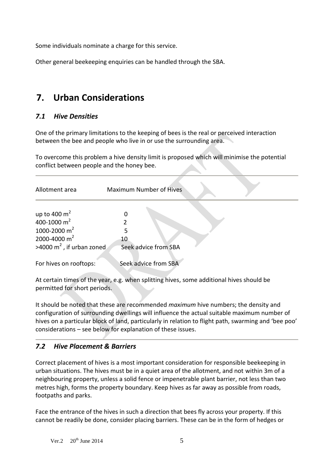Some individuals nominate a charge for this service.

Other general beekeeping enquiries can be handled through the SBA.

## **7. Urban Considerations**

#### *7.1 Hive Densities*

One of the primary limitations to the keeping of bees is the real or perceived interaction between the bee and people who live in or use the surrounding area.

To overcome this problem a hive density limit is proposed which will minimise the potential conflict between people and the honey bee.

| <b>Maximum Number of Hives</b> |  |  |
|--------------------------------|--|--|
|                                |  |  |
|                                |  |  |
|                                |  |  |
|                                |  |  |
| Seek advice from SBA           |  |  |
| Seek advice from SBA           |  |  |
|                                |  |  |

At certain times of the year, e.g. when splitting hives, some additional hives should be permitted for short periods.

It should be noted that these are recommended *maximum* hive numbers; the density and configuration of surrounding dwellings will influence the actual suitable maximum number of hives on a particular block of land, particularly in relation to flight path, swarming and 'bee poo' considerations – see below for explanation of these issues.

#### *7.2 Hive Placement & Barriers*

Correct placement of hives is a most important consideration for responsible beekeeping in urban situations. The hives must be in a quiet area of the allotment, and not within 3m of a neighbouring property, unless a solid fence or impenetrable plant barrier, not less than two metres high, forms the property boundary. Keep hives as far away as possible from roads, footpaths and parks.

Face the entrance of the hives in such a direction that bees fly across your property. If this cannot be readily be done, consider placing barriers. These can be in the form of hedges or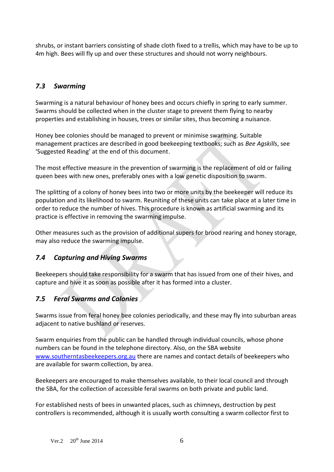shrubs, or instant barriers consisting of shade cloth fixed to a trellis, which may have to be up to 4m high. Bees will fly up and over these structures and should not worry neighbours.

#### *7.3 Swarming*

Swarming is a natural behaviour of honey bees and occurs chiefly in spring to early summer. Swarms should be collected when in the cluster stage to prevent them flying to nearby properties and establishing in houses, trees or similar sites, thus becoming a nuisance.

Honey bee colonies should be managed to prevent or minimise swarming. Suitable management practices are described in good beekeeping textbooks; such as *Bee Agskills*, see 'Suggested Reading' at the end of this document.

The most effective measure in the prevention of swarming is the replacement of old or failing queen bees with new ones, preferably ones with a low genetic disposition to swarm.

The splitting of a colony of honey bees into two or more units by the beekeeper will reduce its population and its likelihood to swarm. Reuniting of these units can take place at a later time in order to reduce the number of hives. This procedure is known as artificial swarming and its practice is effective in removing the swarming impulse.

Other measures such as the provision of additional supers for brood rearing and honey storage, may also reduce the swarming impulse.

#### *7.4 Capturing and Hiving Swarms*

Beekeepers should take responsibility for a swarm that has issued from one of their hives, and capture and hive it as soon as possible after it has formed into a cluster.

#### *7.5 Feral Swarms and Colonies*

Swarms issue from feral honey bee colonies periodically, and these may fly into suburban areas adjacent to native bushland or reserves.

Swarm enquiries from the public can be handled through individual councils, whose phone numbers can be found in the telephone directory. Also, on the SBA website [www.southerntasbeekeepers.org.au](http://www.southerntasbeekeepers.org.au/) there are names and contact details of beekeepers who are available for swarm collection, by area.

Beekeepers are encouraged to make themselves available, to their local council and through the SBA, for the collection of accessible feral swarms on both private and public land.

For established nests of bees in unwanted places, such as chimneys, destruction by pest controllers is recommended, although it is usually worth consulting a swarm collector first to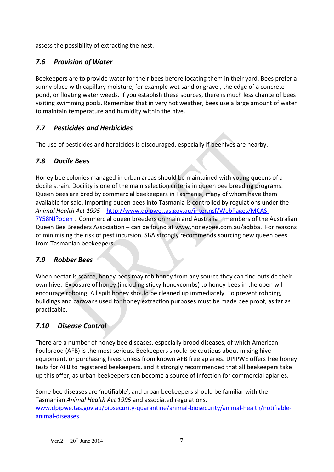assess the possibility of extracting the nest.

#### *7.6 Provision of Water*

Beekeepers are to provide water for their bees before locating them in their yard. Bees prefer a sunny place with capillary moisture, for example wet sand or gravel, the edge of a concrete pond, or floating water weeds. If you establish these sources, there is much less chance of bees visiting swimming pools. Remember that in very hot weather, bees use a large amount of water to maintain temperature and humidity within the hive.

#### *7.7 Pesticides and Herbicides*

The use of pesticides and herbicides is discouraged, especially if beehives are nearby.

#### *7.8 Docile Bees*

Honey bee colonies managed in urban areas should be maintained with young queens of a docile strain. Docility is one of the main selection criteria in queen bee breeding programs. Queen bees are bred by commercial beekeepers in Tasmania, many of whom have them available for sale. Importing queen bees into Tasmania is controlled by regulations under the *Animal Health Act 1995* – [http://www.dpipwe.tas.gov.au/inter.nsf/WebPages/MCAS-](http://www.dpipwe.tas.gov.au/inter.nsf/WebPages/MCAS-7Y58NJ?open)[7Y58NJ?open](http://www.dpipwe.tas.gov.au/inter.nsf/WebPages/MCAS-7Y58NJ?open) . Commercial queen breeders on mainland Australia – members of the Australian Queen Bee Breeders Association – can be found at www.honeybee.com.au/aqbba. For reasons of minimising the risk of pest incursion, SBA strongly recommends sourcing new queen bees from Tasmanian beekeepers.

#### *7.9 Robber Bees*

When nectar is scarce, honey bees may rob honey from any source they can find outside their own hive. Exposure of honey (including sticky honeycombs) to honey bees in the open will encourage robbing. All spilt honey should be cleaned up immediately. To prevent robbing, buildings and caravans used for honey extraction purposes must be made bee proof, as far as practicable.

#### *7.10 Disease Control*

There are a number of honey bee diseases, especially brood diseases, of which American Foulbrood (AFB) is the most serious. Beekeepers should be cautious about mixing hive equipment, or purchasing hives unless from known AFB free apiaries. DPIPWE offers free honey tests for AFB to registered beekeepers, and it strongly recommended that all beekeepers take up this offer, as urban beekeepers can become a source of infection for commercial apiaries.

Some bee diseases are 'notifiable', and urban beekeepers should be familiar with the Tasmanian *Animal Health Act 1995* and associated regulations. [www.dpipwe.tas.gov.au/biosecurity-quarantine/animal-biosecurity/animal-health/notifiable](http://www.dpipwe.tas.gov.au/biosecurity-quarantine/animal-biosecurity/animal-health/notifiable-animal-diseases)[animal-diseases](http://www.dpipwe.tas.gov.au/biosecurity-quarantine/animal-biosecurity/animal-health/notifiable-animal-diseases)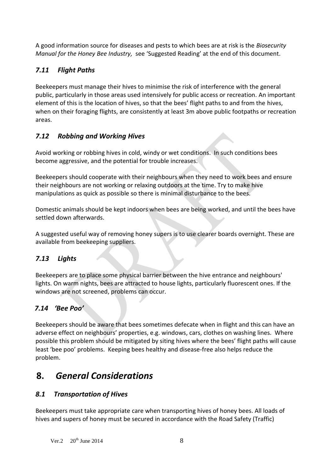A good information source for diseases and pests to which bees are at risk is the *Biosecurity Manual for the Honey Bee Industry,* see 'Suggested Reading' at the end of this document.

#### *7.11 Flight Paths*

Beekeepers must manage their hives to minimise the risk of interference with the general public, particularly in those areas used intensively for public access or recreation. An important element of this is the location of hives, so that the bees' flight paths to and from the hives, when on their foraging flights, are consistently at least 3m above public footpaths or recreation areas.

#### *7.12 Robbing and Working Hives*

Avoid working or robbing hives in cold, windy or wet conditions. In such conditions bees become aggressive, and the potential for trouble increases.

Beekeepers should cooperate with their neighbours when they need to work bees and ensure their neighbours are not working or relaxing outdoors at the time. Try to make hive manipulations as quick as possible so there is minimal disturbance to the bees.

Domestic animals should be kept indoors when bees are being worked, and until the bees have settled down afterwards.

A suggested useful way of removing honey supers is to use clearer boards overnight. These are available from beekeeping suppliers.

#### *7.13 Lights*

Beekeepers are to place some physical barrier between the hive entrance and neighbours' lights. On warm nights, bees are attracted to house lights, particularly fluorescent ones. If the windows are not screened, problems can occur.

#### *7.14 'Bee Poo'*

Beekeepers should be aware that bees sometimes defecate when in flight and this can have an adverse effect on neighbours' properties, e.g. windows, cars, clothes on washing lines. Where possible this problem should be mitigated by siting hives where the bees' flight paths will cause least 'bee poo' problems. Keeping bees healthy and disease-free also helps reduce the problem.

## **8.** *General Considerations*

#### *8.1 Transportation of Hives*

Beekeepers must take appropriate care when transporting hives of honey bees. All loads of hives and supers of honey must be secured in accordance with the Road Safety (Traffic)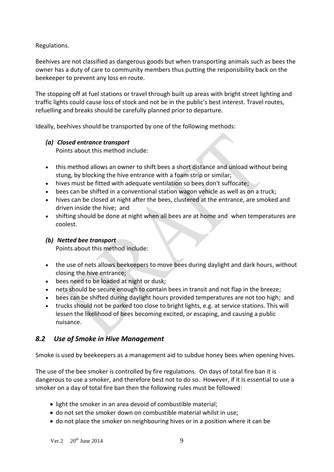Regulations.

Beehives are not classified as dangerous goods but when transporting animals such as bees the owner has a duty of care to community members thus putting the responsibility back on the beekeeper to prevent any loss en route.

The stopping off at fuel stations or travel through built up areas with bright street lighting and traffic lights could cause loss of stock and not be in the public's best interest. Travel routes, refuelling and breaks should be carefully planned prior to departure.

Ideally, beehives should be transported by one of the following methods:

#### *(a) Closed entrance transport*

Points about this method include:

- this method allows an owner to shift bees a short distance and unload without being stung, by blocking the hive entrance with a foam strip or similar;
- hives must be fitted with adequate ventilation so bees don't suffocate;
- bees can be shifted in a conventional station wagon vehicle as well as on a truck;
- hives can be closed at night after the bees, clustered at the entrance, are smoked and driven inside the hive; and
- shifting should be done at night when all bees are at home and when temperatures are coolest.

#### *(b) Netted bee transport*

Points about this method include:

- the use of nets allows beekeepers to move bees during daylight and dark hours, without closing the hive entrance;
- bees need to be loaded at night or dusk;
- nets should be secure enough to contain bees in transit and not flap in the breeze;
- bees can be shifted during daylight hours provided temperatures are not too high; and
- trucks should not be parked too close to bright lights, e.g. at service stations. This will lessen the likelihood of bees becoming excited, or escaping, and causing a public nuisance.

#### *8.2 Use of Smoke in Hive Management*

Smoke is used by beekeepers as a management aid to subdue honey bees when opening hives.

The use of the bee smoker is controlled by fire regulations. On days of total fire ban it is dangerous to use a smoker, and therefore best not to do so. However, if it is essential to use a smoker on a day of total fire ban then the following rules must be followed:

- light the smoker in an area devoid of combustible material;
- do not set the smoker down on combustible material whilst in use;
- do not place the smoker on neighbouring hives or in a position where it can be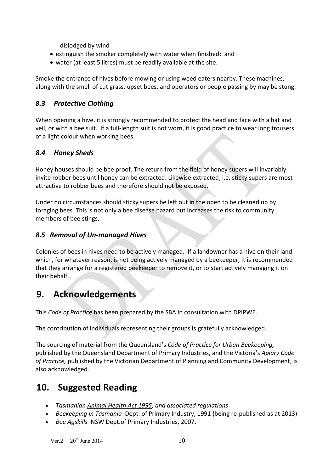dislodged by wind

- extinguish the smoker completely with water when finished; and
- water (at least 5 litres) must be readily available at the site.

Smoke the entrance of hives before mowing or using weed eaters nearby. These machines, along with the smell of cut grass, upset bees, and operators or people passing by may be stung.

#### *8.3 Protective Clothing*

When opening a hive, it is strongly recommended to protect the head and face with a hat and veil, or with a bee suit. If a full-length suit is not worn, it is good practice to wear long trousers of a light colour when working bees.

#### *8.4 Honey Sheds*

Honey houses should be bee proof. The return from the field of honey supers will invariably invite robber bees until honey can be extracted. Likewise extracted, i.e. sticky supers are most attractive to robber bees and therefore should not be exposed.

Under no circumstances should sticky supers be left out in the open to be cleaned up by foraging bees. This is not only a bee disease hazard but increases the risk to community members of bee stings.

#### *8.5 Removal of Un-managed Hives*

Colonies of bees in hives need to be actively managed. If a landowner has a hive on their land which, for whatever reason, is not being actively managed by a beekeeper, it is recommended that they arrange for a registered beekeeper to remove it, or to start actively managing it on their behalf.

## **9. Acknowledgements**

This *Code of Practice* has been prepared by the SBA in consultation with DPIPWE.

The contribution of individuals representing their groups is gratefully acknowledged.

The sourcing of material from the Queensland's *Code of Practice for Urban Beekeeping,* published by the Queensland Department of Primary Industries, and the Victoria's *Apiary Code of Practice,* published by the Victorian Department of Planning and Community Development, is also acknowledged.

### **10. Suggested Reading**

- *Tasmanian Animal Health Act 1995, and associated regulations*
- *Beekeeping in Tasmania* Dept. of Primary Industry, 1991 (being re-published as at 2013)
- *Bee Agskills* NSW Dept.of Primary Industries, 2007.